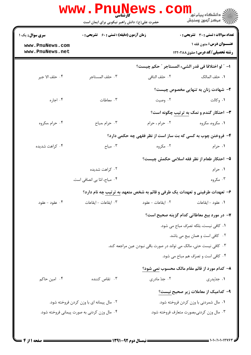|                                                                                          | <b>WWW.PNUNEWS</b><br><b>کارشناسی</b><br>حضرت علی(ع): دانش راهبر نیکویی برای ایمان است | CO                                                                                 | <mark>د</mark> دانشگاه پیام نو <mark>ر</mark><br>رآ مرڪز آزمون وسنڊش                                                      |
|------------------------------------------------------------------------------------------|----------------------------------------------------------------------------------------|------------------------------------------------------------------------------------|---------------------------------------------------------------------------------------------------------------------------|
| <b>سری سوال :</b> یک ۱<br>www.PnuNews.com<br>www.PnuNews.net                             | <b>زمان آزمون (دقیقه) : تستی : 60 ٪ تشریحی : 0</b>                                     |                                                                                    | <b>تعداد سوالات : تستی : 30 - تشریحی : 0</b><br><b>عنــوان درس:</b> متون فقه ۱<br><b>رشته تحصیلی/کد درس:</b> حقوق ۱۲۲۰۲۸۸ |
|                                                                                          |                                                                                        |                                                                                    | ا- ″ لو اختلافا في قدر الشيء المستاجر ″ حكم چيست؟                                                                         |
| ۰۴ حلف الا جير                                                                           | ٠٣ حلف المستاجر                                                                        | ٠٢ حلف النافي                                                                      | ٠١. حلف المالک                                                                                                            |
|                                                                                          |                                                                                        |                                                                                    | ۲- شهادت زنان به تنهایی مخصوص چیست؟                                                                                       |
| ۰۴ اجاره                                                                                 | ۰۳ معاطات                                                                              | ۰۲ وصیت                                                                            | ۰۱ وکالت                                                                                                                  |
|                                                                                          |                                                                                        |                                                                                    | ۳- احتکار گندم و نمک به ترتیب چگونه است؟                                                                                  |
| ۰۴ حرام ،مکروه                                                                           | ۰۳ حرام ،مباح                                                                          | ٠٢ حرام ، حرام                                                                     | ۰۱ مکروه، مکروه                                                                                                           |
|                                                                                          |                                                                                        | ۴- فروختن چوب به کسی که بت ساز است از نظر فقهی چه حکمی دارد؟                       |                                                                                                                           |
| ۰۴ کراهت شدیده                                                                           | ۰۳ مباح $\cdot$                                                                        | ۰۲ مکروه                                                                           | ۰۱ حرام                                                                                                                   |
|                                                                                          |                                                                                        |                                                                                    | ۵– احتکار طعام از نظر فقه اسلامی حکمش چیست؟                                                                               |
|                                                                                          | ۰۲ کراهت شدیده                                                                         |                                                                                    | ۰۱ حرام                                                                                                                   |
|                                                                                          | ۰۴ مباح، امّا بی انصافی است.                                                           |                                                                                    | ۰۳ مکروه                                                                                                                  |
|                                                                                          |                                                                                        | ۶– تعهدات طرفینی و تعهدات یک طرفی و قائم به شخص متعهد <u>به ترتیب</u> چه نام دارد؟ |                                                                                                                           |
| ۰۴ عقود - عقود                                                                           | ٠٣ ايقاعات - ايقاعات                                                                   | ٠٢ ايقاعات - عقود                                                                  | ۰۱ عقود - ايقاعات                                                                                                         |
|                                                                                          |                                                                                        |                                                                                    | ۷– در مورد بیع معاطاتی کدام گزینه صحیح است؟                                                                               |
|                                                                                          |                                                                                        |                                                                                    | ٠١ كافي نيست، بلكه تصرّف مباح مي شود.                                                                                     |
|                                                                                          |                                                                                        |                                                                                    | ٠٢ كافي است و همان بيع مي باشد.                                                                                           |
|                                                                                          |                                                                                        | ۰۳ کافی نیست حتی، مالک می تواند در صورت باقی نبودن عین مراجعه کند.                 |                                                                                                                           |
|                                                                                          |                                                                                        |                                                                                    | ۰۴ کافی است و تصرّف هم مباح می شود.                                                                                       |
|                                                                                          |                                                                                        |                                                                                    | ۸- کدام مورد از قائم مقام مالک محسوب نمی شود؟                                                                             |
| ۰۴ امین حاکم                                                                             | ۰۳ تقاص کننده                                                                          | ۰۲ جد مادری                                                                        | ۰۱ جدّپدري                                                                                                                |
|                                                                                          |                                                                                        |                                                                                    | ۹– کدامیک از معاملات زیر صحیح <u>نیست؟</u>                                                                                |
| ۰۲ مال پیمانه ای با وزن کردن فروخته شود.                                                 |                                                                                        | ٠١ مال شمردني با وزن كردن فروخته شود.                                              |                                                                                                                           |
| ۰۴ مال وزن کردنی به صورت پیمانی فروخته شود.<br>۰۳ مال وزن کردنی،بصورت متعارف فروخته شود. |                                                                                        |                                                                                    |                                                                                                                           |
|                                                                                          |                                                                                        |                                                                                    |                                                                                                                           |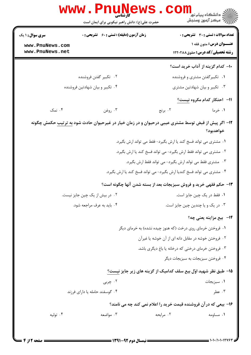|                                                                                                                 | <b>www.Pnune</b><br>حضرت علی(ع): دانش راهبر نیکویی برای ایمان است     |                                                            | ڪ دانشڪاه پيا <sub>م</sub> نور<br><mark>ر</mark> 7 مرڪز آزمون وسنڊش |  |  |
|-----------------------------------------------------------------------------------------------------------------|-----------------------------------------------------------------------|------------------------------------------------------------|---------------------------------------------------------------------|--|--|
| <b>سری سوال :</b> ۱ یک                                                                                          | <b>زمان آزمون (دقیقه) : تستی : 60 ٪ تشریحی : 0</b>                    |                                                            | <b>تعداد سوالات : تستی : 30 ٪ تشریحی : 0</b>                        |  |  |
| www.PnuNews.com                                                                                                 |                                                                       |                                                            | <b>عنــوان درس:</b> متون فقه ۱                                      |  |  |
| www.PnuNews.net                                                                                                 |                                                                       |                                                            | <b>رشته تحصیلی/کد درس:</b> حقوق ۱۲۲۰۲۸۸                             |  |  |
|                                                                                                                 |                                                                       |                                                            | ۱۰– کدام گزینه از آداب خرید است؟                                    |  |  |
|                                                                                                                 | ۰۲ تكبير گفتن فروشنده                                                 |                                                            | ۰۱ تکبیرگفتن مشتری و فروشنده                                        |  |  |
|                                                                                                                 | ۰۴ تکبیر و بیان شهادتین فروشنده                                       |                                                            | ۰۳ تکبیر و بیان شهادتین مشتری                                       |  |  |
|                                                                                                                 |                                                                       |                                                            | 11- احتكار كدام مكروه نيست؟                                         |  |  |
| ۰۴ نمک                                                                                                          | ۰۳ روغن                                                               | ۰۲ برنج                                                    | ۱. خرما                                                             |  |  |
| ۱۲– اگر پیش از قبض توسط مشتری عیبی درحیوان و در زمان خیار در غیرحیوان حادث شود به ترتیب حکمش چگونه<br>خواهدبود؟ |                                                                       |                                                            |                                                                     |  |  |
| ۰۱ مشتری می تواند فسخ کند یا ارش بگیرد- فقط می تواند ارش بگیرد.                                                 |                                                                       |                                                            |                                                                     |  |  |
| ۰۲ مشتری می تواند فقط ارش بگیرد- می تواند فسخ کند یا ارش بگیرد.                                                 |                                                                       |                                                            |                                                                     |  |  |
|                                                                                                                 | ۰۳ مشتری فقط می تواند ارش بگیرد- می تواند فقط ارش بگیرد.              |                                                            |                                                                     |  |  |
|                                                                                                                 | ۰۴ مشتری می تواند فسخ کندیا ارش بگیرد- می تواند فسخ کند یا ارش بگیرد. |                                                            |                                                                     |  |  |
|                                                                                                                 | ۱۳- حکم فقهی خرید و فروش سبزیجات بعد از بسته شدن آنها چگونه است؟      |                                                            |                                                                     |  |  |
|                                                                                                                 | ۰۲ در بیش از یک چین جایز نیست.                                        |                                                            | ۰۱ فقط در یک چین جایز است.                                          |  |  |
|                                                                                                                 | ۰۴ باید به عرف مراجعه شود.                                            |                                                            | ۰۳ در یک و یا چندین چین جایز است.                                   |  |  |
|                                                                                                                 |                                                                       |                                                            | <b>۱۴</b> - بیع مزاینه یعنی چه؟                                     |  |  |
|                                                                                                                 |                                                                       | ۱. فروختن خرمای روی درخت (که هنوز چیده نشده) به خرمای دیگر |                                                                     |  |  |
|                                                                                                                 | ۰۲ فروختن خوشه در مقابل دانه ای از آن خوشه یا غیرآن                   |                                                            |                                                                     |  |  |
|                                                                                                                 | ۰۳ فروختن خرمای درختی که درخانه یا باغ دیگری باشد.                    |                                                            |                                                                     |  |  |
|                                                                                                                 |                                                                       |                                                            | ۰۴ فروختن سبزيجات به سبزيجات ديگر                                   |  |  |
|                                                                                                                 |                                                                       |                                                            | ۱۵– طبق نظر شهید اوّل بیع سلف کدامیک از گزینه های زیر جایز نیست؟    |  |  |
|                                                                                                                 | ۰۲ چربی                                                               |                                                            | ۰۱ سبزیجات                                                          |  |  |
|                                                                                                                 | ۰۴ گوسفند حامله یا دارای فرزند                                        |                                                            | ۰۳ عطر                                                              |  |  |
|                                                                                                                 |                                                                       |                                                            | ۱۶- بیعی که در آن فروشنده قیمت خرید را اعلام نمی کند چه می نامند؟   |  |  |
| ۰۴ تولیه                                                                                                        | ۰۳ مواضعه                                                             | ۰۲ مرابحه                                                  | ۰۱ مساومه                                                           |  |  |
|                                                                                                                 |                                                                       |                                                            |                                                                     |  |  |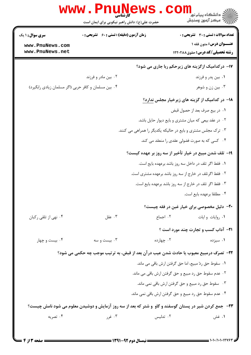|                                                      | حضرت علی(ع): دانش راهبر نیکویی برای ایمان است                                                         |                                                              | د دانشگاه پيام نور<br>(دانشگاه پيام نور<br>√ مرکز آزمون وسنجش |
|------------------------------------------------------|-------------------------------------------------------------------------------------------------------|--------------------------------------------------------------|---------------------------------------------------------------|
| سری سوال: ۱ یک                                       | <b>زمان آزمون (دقیقه) : تستی : 60 گشریحی : 0</b>                                                      |                                                              | <b>تعداد سوالات : تستی : 30 ٪ تشریحی : 0</b>                  |
| www.PnuNews.com                                      |                                                                                                       |                                                              | <b>عنــوان درس:</b> متون فقه ۱                                |
| www.PnuNews.net                                      |                                                                                                       |                                                              | <b>رشته تحصیلی/کد درس:</b> حقوق ۱۲۲۰۲۸۸                       |
|                                                      |                                                                                                       |                                                              | <b>۱۷- درکدامیک ازگزینه های زیرحکم ربا جاری می شود؟</b>       |
|                                                      | ۰۲ بین مادر و فرزند                                                                                   |                                                              | ۰۱ بین پدر و فرزند                                            |
| ۰۴ بین مسلمان و کافر حربی (اگر مسلمان زیادی رابگیرد) |                                                                                                       |                                                              | ۰۳ بین زن و شوهر                                              |
|                                                      |                                                                                                       |                                                              | ۱۸– در کدامیک از گزینه های زیرخیار مجلس ندارد؟                |
|                                                      |                                                                                                       |                                                              | ٠١ در بيع صرف بعد از حصول قبض                                 |
|                                                      |                                                                                                       | ۰۲ در عقد بیعی که میان مشتری و بایع دیوار حایل باشد.         |                                                               |
|                                                      |                                                                                                       | ۰۳ ترک مجلس مشتری و بایع در حالیکه یکدیگر را همراهی می کنند. |                                                               |
|                                                      |                                                                                                       |                                                              | ۰۴ کسی که به صورت فضولی عقدی را منعقد می کند.                 |
|                                                      |                                                                                                       | ۱۹– تلف شدن مبیع در خیار تأخیر از سه روز بر عهده کیست؟       |                                                               |
|                                                      |                                                                                                       | ٠١ فقط اگر تلف در داخل سه روز باشد برعهده بايع است.          |                                                               |
|                                                      |                                                                                                       | ۰۲ فقط اگرتلف در خارج از سه روز باشد برعهده مشتری است.       |                                                               |
|                                                      |                                                                                                       | ۰۳ فقط اگر تلف در خارج از سه روز باشد برعهده بایع است.       |                                                               |
|                                                      |                                                                                                       |                                                              | ۰۴ مطلقا برعهده بايع است.                                     |
|                                                      |                                                                                                       |                                                              | <b>۰۲</b> - دلیل مخصوصی برای خیار غبن در فقه چیست؟            |
| ۰۴ نهي از تلقي رکبان                                 | ۰۳ عقل                                                                                                |                                                              | ۰۱ روایات و ایات مسلسل ۲۰ اجماع                               |
|                                                      |                                                                                                       |                                                              | <b>٢١</b> - آداب کسب و تجارت چند مورد است ؟                   |
| ۰۴ بیست و چهار                                       | ۰۳ بیست و سه                                                                                          | ۰۲ چهارده                                                    | ۰۱ سیزده                                                      |
|                                                      | ٢٢- تصرّف درمبيع معيوب يا حادث شدن عيب در آن بعد از قبض، به ترتيب موجب چه حكمي مي شود؟                |                                                              |                                                               |
|                                                      |                                                                                                       | ١. سقوط حق ردّ مبيع، اما حق گرفتن ارش باقي مي ماند.          |                                                               |
|                                                      |                                                                                                       | ۰۲ عدم سقوط حق رد مبیع و حق گرفتن ارش باقی می ماند.          |                                                               |
|                                                      |                                                                                                       | ۰۳ سقوط حق رد مبیع و حق گرفتن ارش باقی نمی ماند.             |                                                               |
|                                                      |                                                                                                       | ۰۴ عدم سقوط حق رد مبیع و حق گرفتن ارش باقی نمی ماند.         |                                                               |
|                                                      | ۲۳- جمع کردن شیر در پستان گوسفند و گاو و شتر که بعد از سه روز آزمایش و دوشیدن معلوم می شود نامش چیست؟ |                                                              |                                                               |
| ۰۴ تصریه                                             | ۰۳ غرر                                                                                                | ۰۲ تدلیس                                                     | ۰۱ غش                                                         |

 $: 1.1.11.11795$